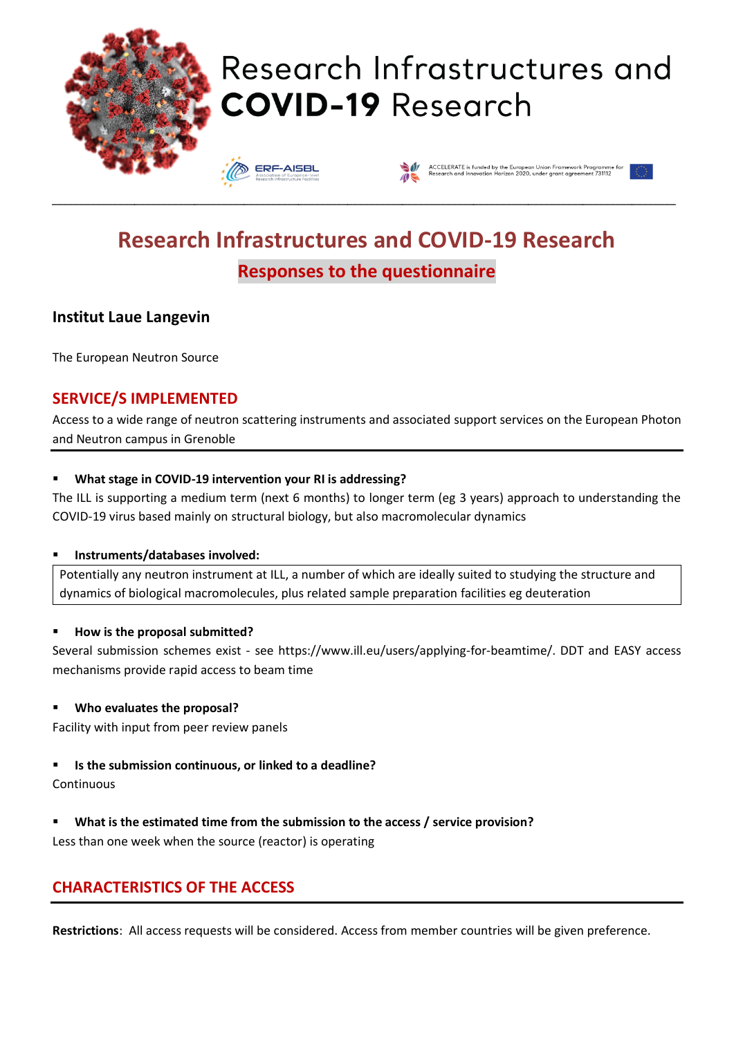

# Research Infrastructures and **COVID-19 Research**

**ERF-AISBL** 



# **Research Infrastructures and COVID-19 Research Responses to the questionnaire**

\_\_\_\_\_\_\_\_\_\_\_\_\_\_\_\_\_\_\_\_\_\_\_\_\_\_\_\_\_\_\_\_\_\_\_\_\_\_\_\_\_\_\_\_\_\_\_\_\_\_\_\_\_\_\_\_\_\_\_\_\_\_\_\_\_\_\_\_\_\_\_\_\_\_\_\_\_\_\_\_\_\_\_\_\_\_\_\_\_\_\_\_\_\_\_\_\_\_\_\_\_\_\_\_\_\_\_\_\_\_\_\_\_\_

## **Institut Laue Langevin**

The European Neutron Source

## **SERVICE/S IMPLEMENTED**

Access to a wide range of neutron scattering instruments and associated support services on the European Photon and Neutron campus in Grenoble

#### ▪ **What stage in COVID-19 intervention your RI is addressing?**

The ILL is supporting a medium term (next 6 months) to longer term (eg 3 years) approach to understanding the COVID-19 virus based mainly on structural biology, but also macromolecular dynamics

#### ▪ **Instruments/databases involved:**

Potentially any neutron instrument at ILL, a number of which are ideally suited to studying the structure and dynamics of biological macromolecules, plus related sample preparation facilities eg deuteration

#### ▪ **How is the proposal submitted?**

Several submission schemes exist - see https://www.ill.eu/users/applying-for-beamtime/. DDT and EASY access mechanisms provide rapid access to beam time

#### ▪ **Who evaluates the proposal?**

Facility with input from peer review panels

#### ▪ **Is the submission continuous, or linked to a deadline?**

Continuous

#### What is the estimated time from the submission to the access / service provision?

Less than one week when the source (reactor) is operating

## **CHARACTERISTICS OF THE ACCESS**

**Restrictions**: All access requests will be considered. Access from member countries will be given preference.